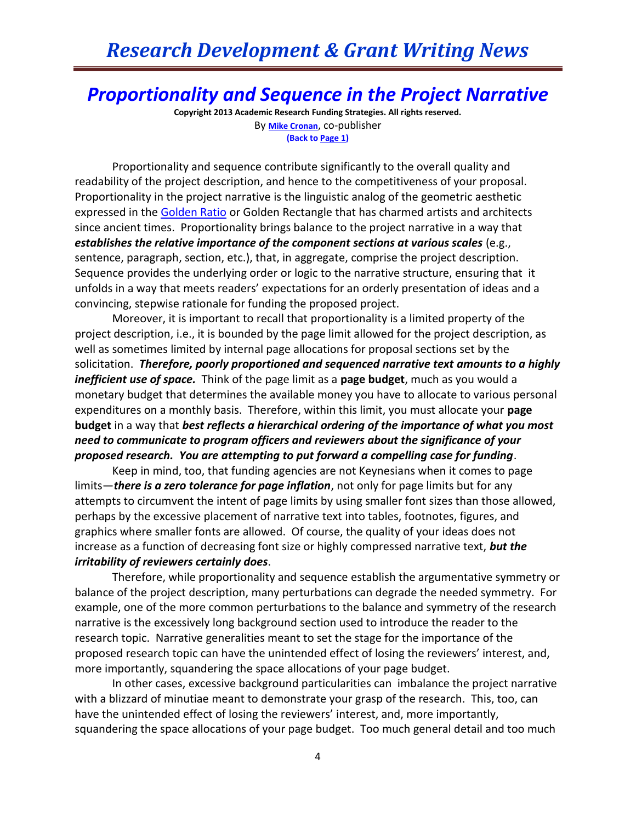## *Research Development & Grant Writing News*

## *Proportionality and Sequence in the Project Narrative*

**Copyright 2013 Academic Research Funding Strategies. All rights reserved.** By **[Mike Cronan](mailto:mjcronan@gmail.com)**, co-publisher **(Back to Page 1)**

Proportionality and sequence contribute significantly to the overall quality and readability of the project description, and hence to the competitiveness of your proposal. Proportionality in the project narrative is the linguistic analog of the geometric aesthetic expressed in the [Golden Ratio](http://en.wikipedia.org/wiki/Golden_ratio#Architecture) or Golden Rectangle that has charmed artists and architects since ancient times. Proportionality brings balance to the project narrative in a way that *establishes the relative importance of the component sections at various scales* (e.g., sentence, paragraph, section, etc.), that, in aggregate, comprise the project description. Sequence provides the underlying order or logic to the narrative structure, ensuring that it unfolds in a way that meets readers' expectations for an orderly presentation of ideas and a convincing, stepwise rationale for funding the proposed project.

Moreover, it is important to recall that proportionality is a limited property of the project description, i.e., it is bounded by the page limit allowed for the project description, as well as sometimes limited by internal page allocations for proposal sections set by the solicitation. *Therefore, poorly proportioned and sequenced narrative text amounts to a highly inefficient use of space.* Think of the page limit as a **page budget**, much as you would a monetary budget that determines the available money you have to allocate to various personal expenditures on a monthly basis. Therefore, within this limit, you must allocate your **page budget** in a way that *best reflects a hierarchical ordering of the importance of what you most need to communicate to program officers and reviewers about the significance of your proposed research. You are attempting to put forward a compelling case for funding*.

Keep in mind, too, that funding agencies are not Keynesians when it comes to page limits—*there is a zero tolerance for page inflation*, not only for page limits but for any attempts to circumvent the intent of page limits by using smaller font sizes than those allowed, perhaps by the excessive placement of narrative text into tables, footnotes, figures, and graphics where smaller fonts are allowed. Of course, the quality of your ideas does not increase as a function of decreasing font size or highly compressed narrative text, *but the irritability of reviewers certainly does*.

Therefore, while proportionality and sequence establish the argumentative symmetry or balance of the project description, many perturbations can degrade the needed symmetry. For example, one of the more common perturbations to the balance and symmetry of the research narrative is the excessively long background section used to introduce the reader to the research topic. Narrative generalities meant to set the stage for the importance of the proposed research topic can have the unintended effect of losing the reviewers' interest, and, more importantly, squandering the space allocations of your page budget.

In other cases, excessive background particularities can imbalance the project narrative with a blizzard of minutiae meant to demonstrate your grasp of the research. This, too, can have the unintended effect of losing the reviewers' interest, and, more importantly, squandering the space allocations of your page budget. Too much general detail and too much